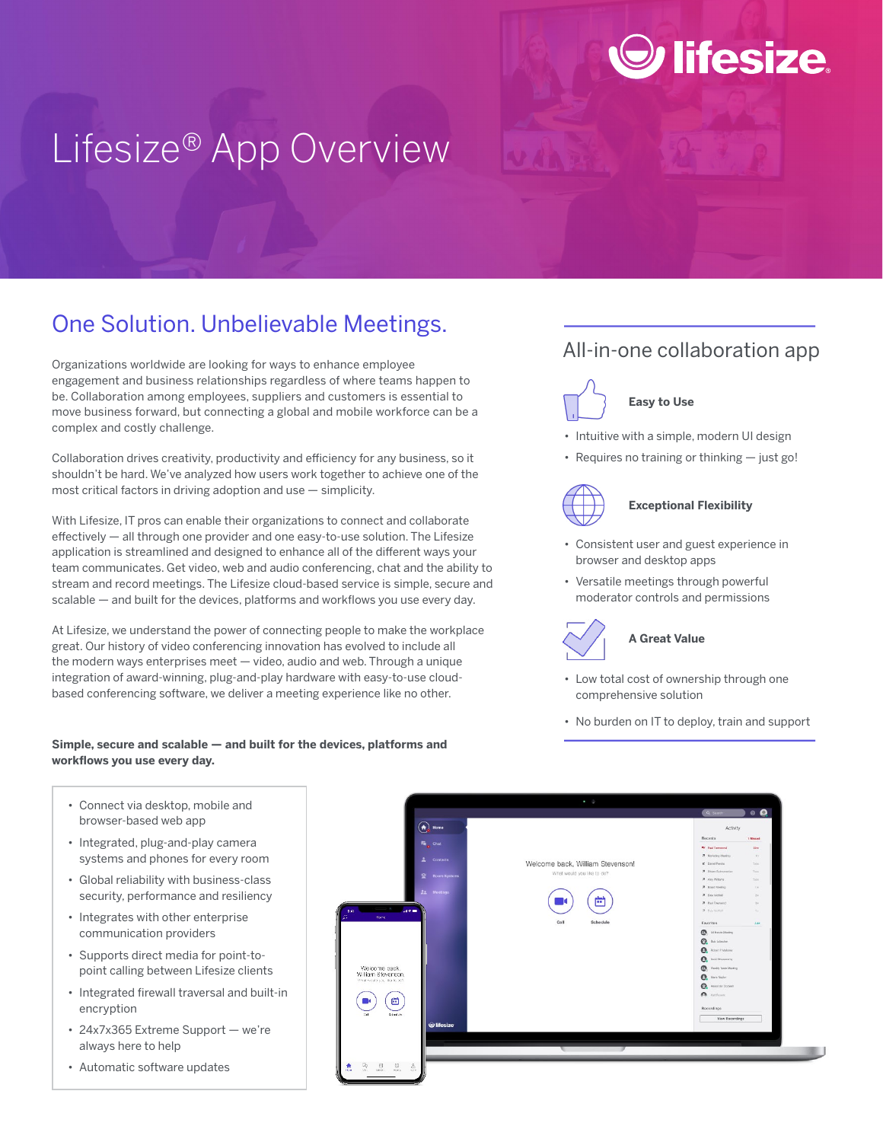# Lifesize® App Overview

## One Solution. Unbelievable Meetings.

Organizations worldwide are looking for ways to enhance employee engagement and business relationships regardless of where teams happen to be. Collaboration among employees, suppliers and customers is essential to move business forward, but connecting a global and mobile workforce can be a complex and costly challenge.

Collaboration drives creativity, productivity and efficiency for any business, so it shouldn't be hard. We've analyzed how users work together to achieve one of the most critical factors in driving adoption and use — simplicity.

With Lifesize, IT pros can enable their organizations to connect and collaborate effectively — all through one provider and one easy-to-use solution. The Lifesize application is streamlined and designed to enhance all of the different ways your team communicates. Get video, web and audio conferencing, chat and the ability to stream and record meetings. The Lifesize cloud-based service is simple, secure and scalable — and built for the devices, platforms and workflows you use every day.

At Lifesize, we understand the power of connecting people to make the workplace great. Our history of video conferencing innovation has evolved to include all the modern ways enterprises meet — video, audio and web. Through a unique integration of award-winning, plug-and-play hardware with easy-to-use cloudbased conferencing software, we deliver a meeting experience like no other.

#### **Simple, secure and scalable — and built for the devices, platforms and workflows you use every day.**

- Connect via desktop, mobile and browser-based web app
- Integrated, plug-and-play camera systems and phones for every room
- Global reliability with business-class security, performance and resiliency
- Integrates with other enterprise communication providers
- Supports direct media for point-topoint calling between Lifesize clients
- Integrated firewall traversal and built-in encryption
- 24x7x365 Extreme Support we're always here to help
- Automatic software updates

# All-in-one collaboration app

lifesize



### **Easy to Use**

- Intuitive with a simple, modern UI design
- Requires no training or thinking just go!



#### **Exceptional Flexibility**

- Consistent user and guest experience in browser and desktop apps
- Versatile meetings through powerful moderator controls and permissions



#### **A Great Value**

- Low total cost of ownership through one comprehensive solution
- No burden on IT to deploy, train and support